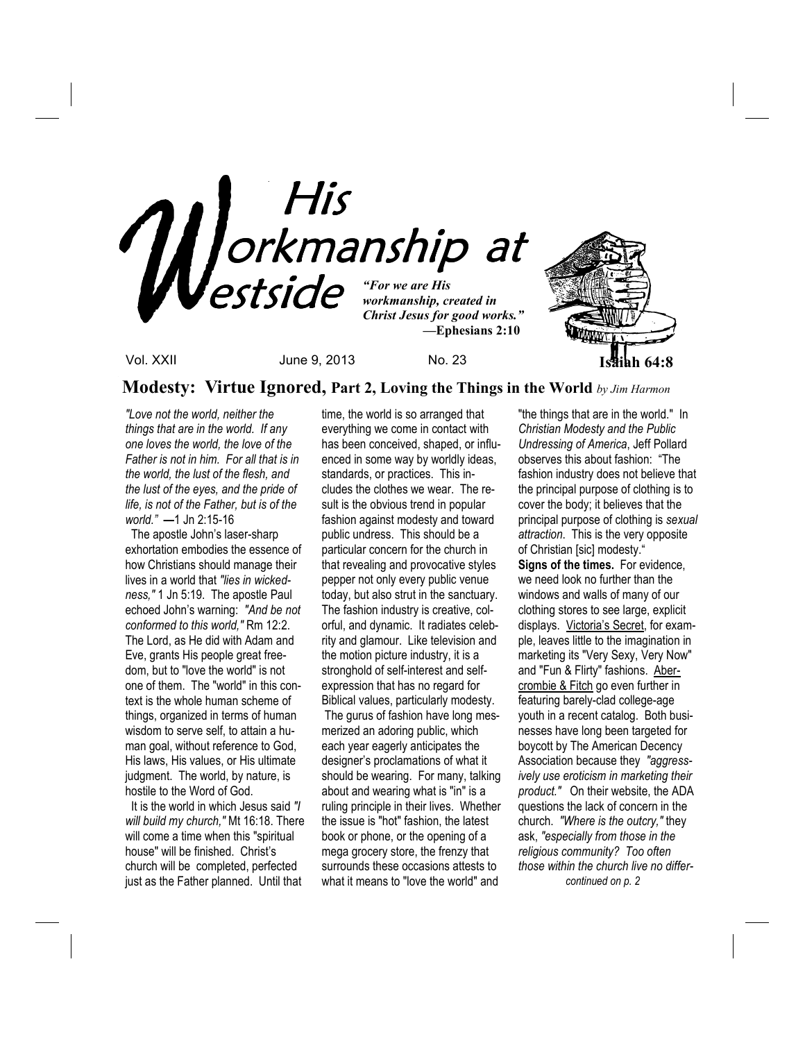

**Modesty: Virtue Ignored, Part 2, Loving the Things in the World** *by Jim Harmon*

*"Love not the world, neither the things that are in the world. If any one loves the world, the love of the Father is not in him. For all that is in the world, the lust of the flesh, and the lust of the eyes, and the pride of life, is not of the Father, but is of the world." —*1 Jn 2:15-16

 The apostle John's laser-sharp exhortation embodies the essence of how Christians should manage their lives in a world that *"lies in wickedness,"* 1 Jn 5:19. The apostle Paul echoed John's warning: *"And be not conformed to this world,"* Rm 12:2. The Lord, as He did with Adam and Eve, grants His people great freedom, but to "love the world" is not one of them. The "world" in this context is the whole human scheme of things, organized in terms of human wisdom to serve self, to attain a human goal, without reference to God, His laws, His values, or His ultimate judgment. The world, by nature, is hostile to the Word of God.

 It is the world in which Jesus said *"I will build my church,"* Mt 16:18. There will come a time when this "spiritual house" will be finished. Christ's church will be completed, perfected just as the Father planned. Until that

time, the world is so arranged that everything we come in contact with has been conceived, shaped, or influenced in some way by worldly ideas, standards, or practices. This includes the clothes we wear. The result is the obvious trend in popular fashion against modesty and toward public undress. This should be a particular concern for the church in that revealing and provocative styles pepper not only every public venue today, but also strut in the sanctuary. The fashion industry is creative, colorful, and dynamic. It radiates celebrity and glamour. Like television and the motion picture industry, it is a stronghold of self-interest and selfexpression that has no regard for Biblical values, particularly modesty. The gurus of fashion have long mesmerized an adoring public, which each year eagerly anticipates the designer's proclamations of what it should be wearing. For many, talking about and wearing what is "in" is a ruling principle in their lives. Whether the issue is "hot" fashion, the latest book or phone, or the opening of a mega grocery store, the frenzy that surrounds these occasions attests to what it means to "love the world" and

"the things that are in the world." In *Christian Modesty and the Public Undressing of America*, Jeff Pollard observes this about fashion: "The fashion industry does not believe that the principal purpose of clothing is to cover the body; it believes that the principal purpose of clothing is *sexual attraction*. This is the very opposite of Christian [sic] modesty." **Signs of the times.** For evidence, we need look no further than the windows and walls of many of our clothing stores to see large, explicit displays. Victoria's Secret, for example, leaves little to the imagination in marketing its "Very Sexy, Very Now" and "Fun & Flirty" fashions. Abercrombie & Fitch go even further in featuring barely-clad college-age youth in a recent catalog. Both businesses have long been targeted for boycott by The American Decency Association because they *"aggressively use eroticism in marketing their product."* On their website, the ADA questions the lack of concern in the church. *"Where is the outcry,"* they ask, *"especially from those in the religious community? Too often those within the church live no differ continued on p. 2*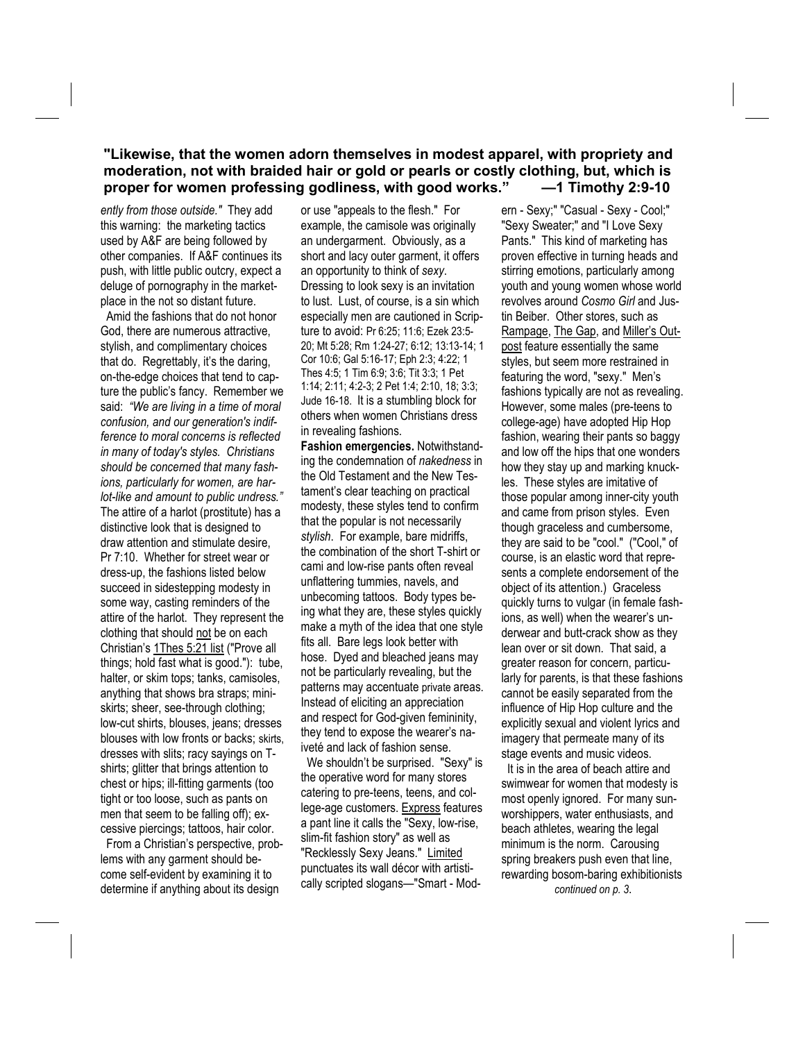### **"Likewise, that the women adorn themselves in modest apparel, with propriety and moderation, not with braided hair or gold or pearls or costly clothing, but, which is proper for women professing godliness, with good works." —1 Timothy 2:9-10**

*ently from those outside."* They add this warning: the marketing tactics used by A&F are being followed by other companies. If A&F continues its push, with little public outcry, expect a deluge of pornography in the marketplace in the not so distant future.

 Amid the fashions that do not honor God, there are numerous attractive, stylish, and complimentary choices that do. Regrettably, it's the daring, on-the-edge choices that tend to capture the public's fancy. Remember we said: *"We are living in a time of moral confusion, and our generation's indifference to moral concerns is reflected in many of today's styles. Christians should be concerned that many fashions, particularly for women, are harlot-like and amount to public undress."*  The attire of a harlot (prostitute) has a distinctive look that is designed to draw attention and stimulate desire, Pr 7:10. Whether for street wear or dress-up, the fashions listed below succeed in sidestepping modesty in some way, casting reminders of the attire of the harlot. They represent the clothing that should not be on each Christian's 1Thes 5:21 list ("Prove all things; hold fast what is good."): tube, halter, or skim tops; tanks, camisoles, anything that shows bra straps; miniskirts; sheer, see-through clothing; low-cut shirts, blouses, jeans; dresses blouses with low fronts or backs; skirts, dresses with slits; racy sayings on Tshirts; glitter that brings attention to chest or hips; ill-fitting garments (too tight or too loose, such as pants on men that seem to be falling off); excessive piercings; tattoos, hair color.

 From a Christian's perspective, problems with any garment should become self-evident by examining it to determine if anything about its design

or use "appeals to the flesh." For example, the camisole was originally an undergarment. Obviously, as a short and lacy outer garment, it offers an opportunity to think of *sexy*. Dressing to look sexy is an invitation to lust. Lust, of course, is a sin which especially men are cautioned in Scripture to avoid: Pr 6:25; 11:6; Ezek 23:5- 20; Mt 5:28; Rm 1:24-27; 6:12; 13:13-14; 1 Cor 10:6; Gal 5:16-17; Eph 2:3; 4:22; 1 Thes 4:5; 1 Tim 6:9; 3:6; Tit 3:3; 1 Pet 1:14; 2:11; 4:2-3; 2 Pet 1:4; 2:10, 18; 3:3; Jude 16-18. It is a stumbling block for others when women Christians dress in revealing fashions.

**Fashion emergencies.** Notwithstanding the condemnation of *nakedness* in the Old Testament and the New Testament's clear teaching on practical modesty, these styles tend to confirm that the popular is not necessarily *stylish*. For example, bare midriffs, the combination of the short T-shirt or cami and low-rise pants often reveal unflattering tummies, navels, and unbecoming tattoos. Body types being what they are, these styles quickly make a myth of the idea that one style fits all. Bare legs look better with hose. Dyed and bleached jeans may not be particularly revealing, but the patterns may accentuate private areas. Instead of eliciting an appreciation and respect for God-given femininity, they tend to expose the wearer's naiveté and lack of fashion sense.

 We shouldn't be surprised. "Sexy" is the operative word for many stores catering to pre-teens, teens, and college-age customers. Express features a pant line it calls the "Sexy, low-rise, slim-fit fashion story" as well as "Recklessly Sexy Jeans." Limited punctuates its wall décor with artistically scripted slogans—"Smart - Modern - Sexy;" "Casual - Sexy - Cool;" "Sexy Sweater;" and "I Love Sexy Pants." This kind of marketing has proven effective in turning heads and stirring emotions, particularly among youth and young women whose world revolves around *Cosmo Girl* and Justin Beiber. Other stores, such as Rampage, The Gap, and Miller's Outpost feature essentially the same styles, but seem more restrained in featuring the word, "sexy." Men's fashions typically are not as revealing. However, some males (pre-teens to college-age) have adopted Hip Hop fashion, wearing their pants so baggy and low off the hips that one wonders how they stay up and marking knuckles. These styles are imitative of those popular among inner-city youth and came from prison styles. Even though graceless and cumbersome, they are said to be "cool." ("Cool," of course, is an elastic word that represents a complete endorsement of the object of its attention.) Graceless quickly turns to vulgar (in female fashions, as well) when the wearer's underwear and butt-crack show as they lean over or sit down. That said, a greater reason for concern, particularly for parents, is that these fashions cannot be easily separated from the influence of Hip Hop culture and the explicitly sexual and violent lyrics and imagery that permeate many of its stage events and music videos.

 It is in the area of beach attire and swimwear for women that modesty is most openly ignored. For many sunworshippers, water enthusiasts, and beach athletes, wearing the legal minimum is the norm. Carousing spring breakers push even that line, rewarding bosom-baring exhibitionists

*continued on p. 3*.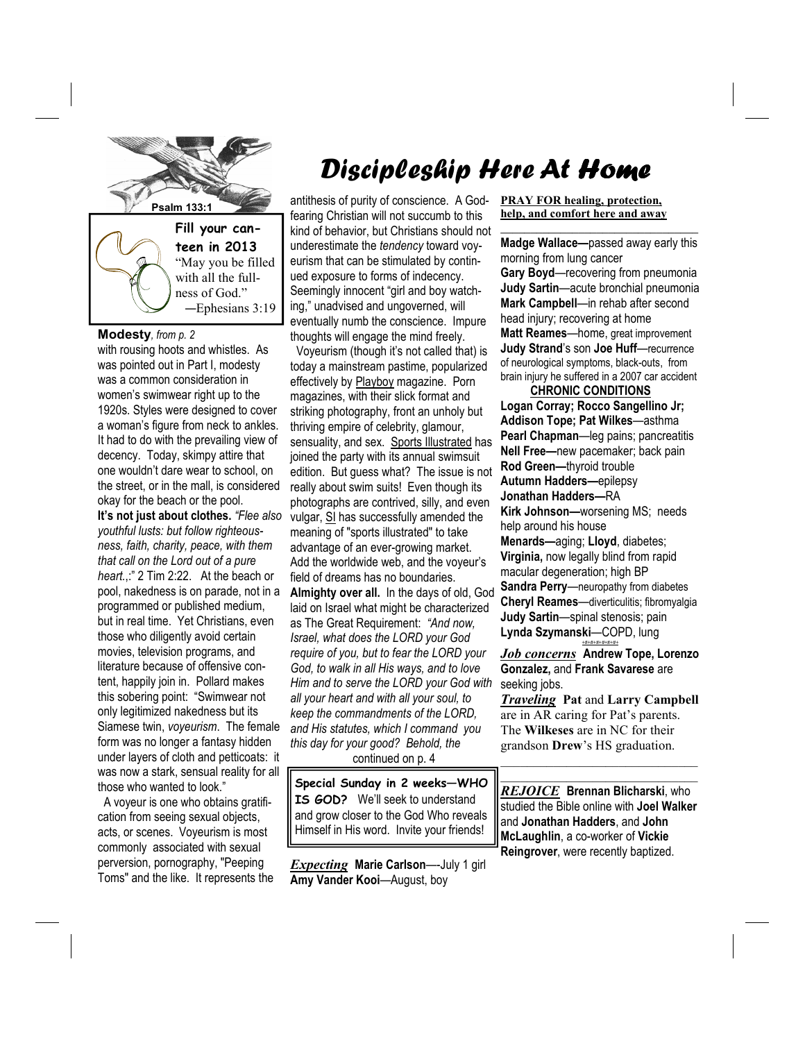

**teen in 2013**  "May you be filled with all the fullness of God." —Ephesians 3:19

#### **Modesty***, from p. 2*

with rousing hoots and whistles. As was pointed out in Part I, modesty was a common consideration in women's swimwear right up to the 1920s. Styles were designed to cover a woman's figure from neck to ankles. It had to do with the prevailing view of decency. Today, skimpy attire that one wouldn't dare wear to school, on the street, or in the mall, is considered okay for the beach or the pool.

**It's not just about clothes.** *"Flee also youthful lusts: but follow righteousness, faith, charity, peace, with them that call on the Lord out of a pure heart.*,:" 2 Tim 2:22. At the beach or pool, nakedness is on parade, not in a programmed or published medium, but in real time. Yet Christians, even those who diligently avoid certain movies, television programs, and literature because of offensive content, happily join in. Pollard makes this sobering point: "Swimwear not only legitimized nakedness but its Siamese twin, *voyeurism*. The female form was no longer a fantasy hidden under layers of cloth and petticoats: it was now a stark, sensual reality for all those who wanted to look."

 A voyeur is one who obtains gratification from seeing sexual objects, acts, or scenes. Voyeurism is most commonly associated with sexual perversion, pornography, "Peeping Toms" and the like. It represents the

# Discipleship Here At Home

**Psalm 133:1 antithesis of purity of conscience.** A Godfearing Christian will not succumb to this kind of behavior, but Christians should not underestimate the *tendency* toward voyeurism that can be stimulated by continued exposure to forms of indecency. Seemingly innocent "girl and boy watching," unadvised and ungoverned, will eventually numb the conscience. Impure thoughts will engage the mind freely.

> Voyeurism (though it's not called that) is today a mainstream pastime, popularized effectively by Playboy magazine. Porn magazines, with their slick format and striking photography, front an unholy but thriving empire of celebrity, glamour, sensuality, and sex. Sports Illustrated has joined the party with its annual swimsuit edition. But guess what? The issue is not really about swim suits! Even though its photographs are contrived, silly, and even vulgar, SI has successfully amended the meaning of "sports illustrated" to take advantage of an ever-growing market. Add the worldwide web, and the voyeur's field of dreams has no boundaries. **Almighty over all.** In the days of old, God laid on Israel what might be characterized as The Great Requirement: *"And now, Israel, what does the LORD your God require of you, but to fear the LORD your God, to walk in all His ways, and to love Him and to serve the LORD your God with all your heart and with all your soul, to keep the commandments of the LORD, and His statutes, which I command you this day for your good? Behold, the*  continued on p. 4

**Special Sunday in 2 weeks—WHO IS GOD?** We'll seek to understand and grow closer to the God Who reveals Himself in His word. Invite your friends!

*Expecting* **Marie Carlson**—-July 1 girl **Amy Vander Kooi**—August, boy

#### **PRAY FOR healing, protection, help, and comfort here and away**

**Madge Wallace—**passed away early this morning from lung cancer **Gary Boyd**—recovering from pneumonia **Judy Sartin**—acute bronchial pneumonia **Mark Campbell**—in rehab after second head injury; recovering at home **Matt Reames**—home, great improvement **Judy Strand**'s son **Joe Huff**—recurrence of neurological symptoms, black-outs, from brain injury he suffered in a 2007 car accident

**\_\_\_\_\_\_\_\_\_\_\_\_\_\_\_\_\_\_\_\_\_\_\_\_\_\_\_\_\_\_\_\_\_**

 **CHRONIC CONDITIONS Logan Corray; Rocco Sangellino Jr; Addison Tope; Pat Wilkes**—asthma **Pearl Chapman**—leg pains; pancreatitis **Nell Free—**new pacemaker; back pain **Rod Green—**thyroid trouble **Autumn Hadders—**epilepsy **Jonathan Hadders—**RA **Kirk Johnson—**worsening MS; needs help around his house **Menards—**aging; **Lloyd**, diabetes; **Virginia,** now legally blind from rapid macular degeneration; high BP **Sandra Perry**—neuropathy from diabetes **Cheryl Reames**—diverticulitis; fibromyalgia **Judy Sartin**—spinal stenosis; pain **Lynda Szymanski**—COPD, lung *+#+#+#+#+#+#+*

*Job concerns* **Andrew Tope, Lorenzo Gonzalez,** and **Frank Savarese** are seeking jobs.

*Traveling* **Pat** and **Larry Campbell**  are in AR caring for Pat's parents. The **Wilkeses** are in NC for their grandson **Drew**'s HS graduation.

\_\_\_\_\_\_\_\_\_\_\_\_\_\_\_\_\_\_\_\_\_\_\_\_\_\_\_\_\_\_ \_\_\_\_\_\_\_\_\_\_\_\_\_\_\_\_\_\_\_\_\_\_\_\_\_\_\_\_\_\_

*REJOICE* **Brennan Blicharski**, who studied the Bible online with **Joel Walker**  and **Jonathan Hadders**, and **John McLaughlin**, a co-worker of **Vickie Reingrover**, were recently baptized.